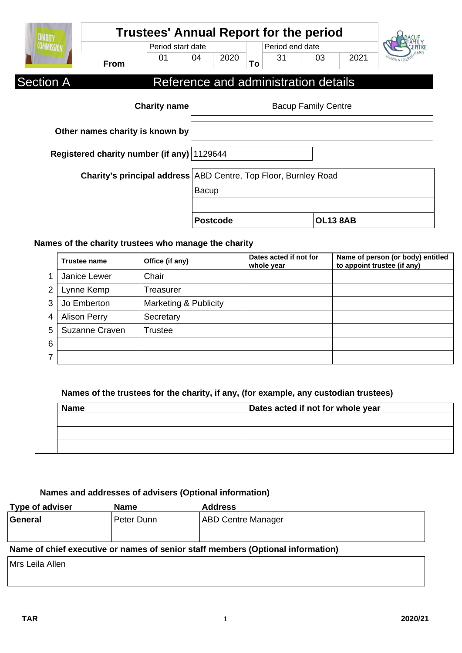| <b>CHARITY</b>                                                  | <b>Trustees' Annual Report for the period</b> |                     |              |                 |    |                 |                                      |      |  |
|-----------------------------------------------------------------|-----------------------------------------------|---------------------|--------------|-----------------|----|-----------------|--------------------------------------|------|--|
| <b>COMMISSION</b>                                               | Period start date                             |                     |              |                 |    | Period end date |                                      |      |  |
|                                                                 | <b>From</b>                                   | 01                  | 04           | 2020            | To | 31              | 03                                   | 2021 |  |
| <b>Section A</b>                                                |                                               |                     |              |                 |    |                 | Reference and administration details |      |  |
|                                                                 |                                               | <b>Charity name</b> |              |                 |    |                 | <b>Bacup Family Centre</b>           |      |  |
| Other names charity is known by                                 |                                               |                     |              |                 |    |                 |                                      |      |  |
| Registered charity number (if any) 1129644                      |                                               |                     |              |                 |    |                 |                                      |      |  |
| Charity's principal address ABD Centre, Top Floor, Burnley Road |                                               |                     |              |                 |    |                 |                                      |      |  |
|                                                                 |                                               |                     | <b>Bacup</b> |                 |    |                 |                                      |      |  |
|                                                                 |                                               |                     |              |                 |    |                 |                                      |      |  |
|                                                                 |                                               |                     |              | <b>Postcode</b> |    |                 | <b>OL13 8AB</b>                      |      |  |

## **Names of the charity trustees who manage the charity**

|   | <b>Trustee name</b> | Office (if any)       | Dates acted if not for<br>whole year | Name of person (or body) entitled<br>to appoint trustee (if any) |
|---|---------------------|-----------------------|--------------------------------------|------------------------------------------------------------------|
|   | Janice Lewer        | Chair                 |                                      |                                                                  |
| 2 | Lynne Kemp          | Treasurer             |                                      |                                                                  |
| 3 | Jo Emberton         | Marketing & Publicity |                                      |                                                                  |
|   | <b>Alison Perry</b> | Secretary             |                                      |                                                                  |
| 5 | Suzanne Craven      | Trustee               |                                      |                                                                  |
| 6 |                     |                       |                                      |                                                                  |
|   |                     |                       |                                      |                                                                  |

### **Names of the trustees for the charity, if any, (for example, any custodian trustees)**

| <b>Name</b> | Dates acted if not for whole year |  |  |
|-------------|-----------------------------------|--|--|
|             |                                   |  |  |
|             |                                   |  |  |
|             |                                   |  |  |
|             |                                   |  |  |

## **Names and addresses of advisers (Optional information)**

| <b>Type of adviser</b> | <b>Name</b> | <b>Address</b>            |
|------------------------|-------------|---------------------------|
| General                | Peter Dunn  | <b>ABD Centre Manager</b> |
|                        |             |                           |
| $\sim$ $\sim$<br>.     |             | .                         |

### **Name of chief executive or names of senior staff members (Optional information)**

Mrs Leila Allen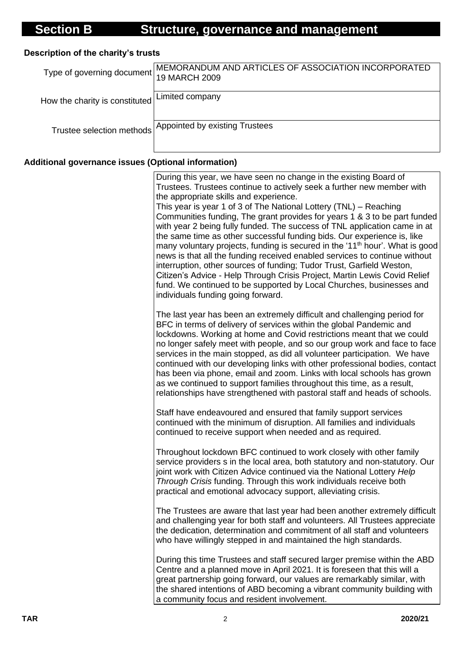# **Description of the charity's trusts**

|                                                | Type of governing document MEMORANDUM AND ARTICLES OF ASSOCIATION INCORPORATED<br>19 MARCH 2009 |
|------------------------------------------------|-------------------------------------------------------------------------------------------------|
| How the charity is constituted Limited company |                                                                                                 |
|                                                | Trustee selection methods Appointed by existing Trustees                                        |

# **Additional governance issues (Optional information)**

| During this year, we have seen no change in the existing Board of<br>Trustees. Trustees continue to actively seek a further new member with<br>the appropriate skills and experience.<br>This year is year 1 of 3 of The National Lottery (TNL) – Reaching<br>Communities funding, The grant provides for years 1 & 3 to be part funded<br>with year 2 being fully funded. The success of TNL application came in at<br>the same time as other successful funding bids. Our experience is, like<br>many voluntary projects, funding is secured in the '11 <sup>th</sup> hour'. What is good<br>news is that all the funding received enabled services to continue without<br>interruption, other sources of funding; Tudor Trust, Garfield Weston,<br>Citizen's Advice - Help Through Crisis Project, Martin Lewis Covid Relief<br>fund. We continued to be supported by Local Churches, businesses and<br>individuals funding going forward. |
|-----------------------------------------------------------------------------------------------------------------------------------------------------------------------------------------------------------------------------------------------------------------------------------------------------------------------------------------------------------------------------------------------------------------------------------------------------------------------------------------------------------------------------------------------------------------------------------------------------------------------------------------------------------------------------------------------------------------------------------------------------------------------------------------------------------------------------------------------------------------------------------------------------------------------------------------------|
| The last year has been an extremely difficult and challenging period for<br>BFC in terms of delivery of services within the global Pandemic and<br>lockdowns. Working at home and Covid restrictions meant that we could<br>no longer safely meet with people, and so our group work and face to face<br>services in the main stopped, as did all volunteer participation. We have<br>continued with our developing links with other professional bodies, contact<br>has been via phone, email and zoom. Links with local schools has grown<br>as we continued to support families throughout this time, as a result,<br>relationships have strengthened with pastoral staff and heads of schools.                                                                                                                                                                                                                                            |
| Staff have endeavoured and ensured that family support services<br>continued with the minimum of disruption. All families and individuals<br>continued to receive support when needed and as required.                                                                                                                                                                                                                                                                                                                                                                                                                                                                                                                                                                                                                                                                                                                                        |
| Throughout lockdown BFC continued to work closely with other family<br>service providers s in the local area, both statutory and non-statutory. Our<br>joint work with Citizen Advice continued via the National Lottery Help<br>Through Crisis funding. Through this work individuals receive both<br>practical and emotional advocacy support, alleviating crisis.                                                                                                                                                                                                                                                                                                                                                                                                                                                                                                                                                                          |
| The Trustees are aware that last year had been another extremely difficult<br>and challenging year for both staff and volunteers. All Trustees appreciate<br>the dedication, determination and commitment of all staff and volunteers<br>who have willingly stepped in and maintained the high standards.                                                                                                                                                                                                                                                                                                                                                                                                                                                                                                                                                                                                                                     |
| During this time Trustees and staff secured larger premise within the ABD<br>Centre and a planned move in April 2021. It is foreseen that this will a<br>great partnership going forward, our values are remarkably similar, with<br>the shared intentions of ABD becoming a vibrant community building with<br>a community focus and resident involvement.                                                                                                                                                                                                                                                                                                                                                                                                                                                                                                                                                                                   |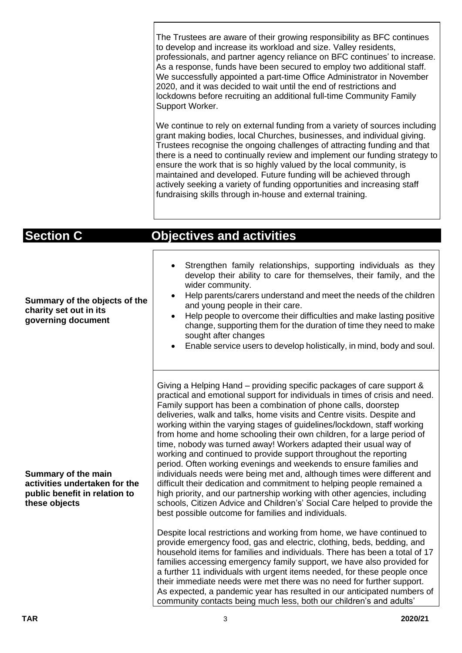The Trustees are aware of their growing responsibility as BFC continues to develop and increase its workload and size. Valley residents, professionals, and partner agency reliance on BFC continues' to increase. As a response, funds have been secured to employ two additional staff. We successfully appointed a part-time Office Administrator in November 2020, and it was decided to wait until the end of restrictions and lockdowns before recruiting an additional full-time Community Family Support Worker.

We continue to rely on external funding from a variety of sources including grant making bodies, local Churches, businesses, and individual giving. Trustees recognise the ongoing challenges of attracting funding and that there is a need to continually review and implement our funding strategy to ensure the work that is so highly valued by the local community, is maintained and developed. Future funding will be achieved through actively seeking a variety of funding opportunities and increasing staff fundraising skills through in-house and external training.

| <b>Section C</b>                                                                                       | <b>Objectives and activities</b>                                                                                                                                                                                                                                                                                                                                                                                                                                                                                                                                                                                                                                                                                                                                                                                                                                                                                                                                                                                                                                                                                                                                                                                                                                              |
|--------------------------------------------------------------------------------------------------------|-------------------------------------------------------------------------------------------------------------------------------------------------------------------------------------------------------------------------------------------------------------------------------------------------------------------------------------------------------------------------------------------------------------------------------------------------------------------------------------------------------------------------------------------------------------------------------------------------------------------------------------------------------------------------------------------------------------------------------------------------------------------------------------------------------------------------------------------------------------------------------------------------------------------------------------------------------------------------------------------------------------------------------------------------------------------------------------------------------------------------------------------------------------------------------------------------------------------------------------------------------------------------------|
| Summary of the objects of the<br>charity set out in its<br>governing document                          | Strengthen family relationships, supporting individuals as they<br>develop their ability to care for themselves, their family, and the<br>wider community.<br>Help parents/carers understand and meet the needs of the children<br>and young people in their care.<br>Help people to overcome their difficulties and make lasting positive<br>change, supporting them for the duration of time they need to make<br>sought after changes<br>Enable service users to develop holistically, in mind, body and soul.                                                                                                                                                                                                                                                                                                                                                                                                                                                                                                                                                                                                                                                                                                                                                             |
| Summary of the main<br>activities undertaken for the<br>public benefit in relation to<br>these objects | Giving a Helping Hand – providing specific packages of care support &<br>practical and emotional support for individuals in times of crisis and need.<br>Family support has been a combination of phone calls, doorstep<br>deliveries, walk and talks, home visits and Centre visits. Despite and<br>working within the varying stages of guidelines/lockdown, staff working<br>from home and home schooling their own children, for a large period of<br>time, nobody was turned away! Workers adapted their usual way of<br>working and continued to provide support throughout the reporting<br>period. Often working evenings and weekends to ensure families and<br>individuals needs were being met and, although times were different and<br>difficult their dedication and commitment to helping people remained a<br>high priority, and our partnership working with other agencies, including<br>schools, Citizen Advice and Children's' Social Care helped to provide the<br>best possible outcome for families and individuals.<br>Despite local restrictions and working from home, we have continued to<br>provide emergency food, gas and electric, clothing, beds, bedding, and<br>household items for families and individuals. There has been a total of 17 |
|                                                                                                        | families accessing emergency family support, we have also provided for<br>a further 11 individuals with urgent items needed, for these people once<br>their immediate needs were met there was no need for further support.<br>As expected, a pandemic year has resulted in our anticipated numbers of<br>community contacts being much less, both our children's and adults'                                                                                                                                                                                                                                                                                                                                                                                                                                                                                                                                                                                                                                                                                                                                                                                                                                                                                                 |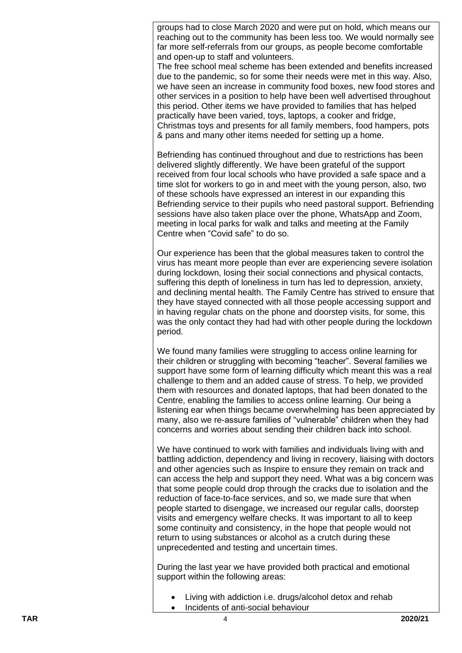groups had to close March 2020 and were put on hold, which means our reaching out to the community has been less too. We would normally see far more self -referrals from our groups, as people become comfortable and open -up to staff and volunteers.

The free school meal scheme has been extended and benefits increased due to the pandemic, so for some their needs were met in this way. Also, we have seen an increase in community food boxes, new food stores and other services in a position to help have been well advertised throughout this period. Other items we have provided to families that has helped practically have been varied, toys, laptops, a cooker and fridge, Christmas toys and presents for all family members, food hampers, pots & pans and many other items needed for setting up a home.

Befriending has continued throughout and due to restrictions has been delivered slightly differently. We have been grateful of the support received from four local schools who have provided a safe space and a time slot for workers to go in and meet with the young person, also, two of these schools have expressed an interest in our expanding this Befriending service to their pupils who need pastoral support. Befriending sessions have also taken place over the phone, WhatsApp and Zoom, meeting in local parks for walk and talks and meeting at the Family Centre when "Covid safe " to do so.

Our experience has been that the global measures taken to control the virus ha s meant more people than ever are experiencing severe isolation during lockdown, losing their social connections and physical contacts, suffering this depth of loneliness in turn has led to depression, anxiety, and declining mental health. The Family Centre has strived to ensure that they have stayed connected with all those people accessing support and in having regular chats on the phone and doorstep visit s, for some, this was the only contact they had had with other people during the lockdown period.

We found many families were struggling to access online learning for their children or struggling with becoming "teacher". Several families we support have some form of learning difficulty which meant this was a real challenge to them and an added cause of stress . To help , we provided them with resources and donated laptops, that had been donated to the Centre , enabling the families to access online learning. Our being a listening ear when things became overwhelming has been appreciated by many, also we re -assure families of "vulnerable" children when they had concerns and worries about sending their children back into school.

We have continued to work with families and individuals living with and battling addiction, dependency and living in recovery, liaising with doctors and other agencies such as Inspire to ensure they remain on track and can access the help and support they need. What was a big concern was that some people could drop through the cracks due to isolation and the reduction of face-to-face services, and so, we made sure that when people started to disengage, we increased our regular calls, doorstep visits and emergency welfare checks. It was important to all to keep some continuity and consistency, in the hope that people would not return to using substances or alcohol as a crutch during these unprecedented and testing and uncertain times.

During the last year we have provided both practical and emotional support within the following areas:

- Living with addiction i.e. drugs/alcohol detox and rehab
- Incidents of anti-social behaviour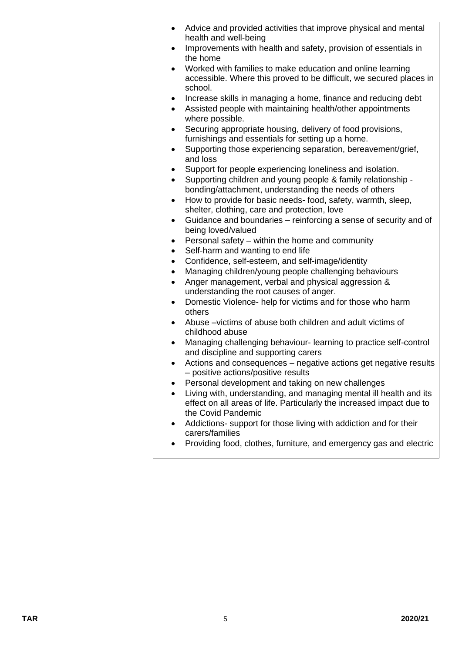| $\bullet$ | Advice and provided activities that improve physical and mental<br>health and well-being                                                     |
|-----------|----------------------------------------------------------------------------------------------------------------------------------------------|
|           | Improvements with health and safety, provision of essentials in                                                                              |
|           | the home                                                                                                                                     |
| $\bullet$ | Worked with families to make education and online learning<br>accessible. Where this proved to be difficult, we secured places in<br>school. |
| $\bullet$ | Increase skills in managing a home, finance and reducing debt                                                                                |
| $\bullet$ | Assisted people with maintaining health/other appointments<br>where possible.                                                                |
| $\bullet$ | Securing appropriate housing, delivery of food provisions,                                                                                   |
|           | furnishings and essentials for setting up a home.                                                                                            |
| ٠         | Supporting those experiencing separation, bereavement/grief,<br>and loss                                                                     |
|           | Support for people experiencing loneliness and isolation.                                                                                    |
| $\bullet$ | Supporting children and young people & family relationship -                                                                                 |
|           | bonding/attachment, understanding the needs of others                                                                                        |
| $\bullet$ | How to provide for basic needs- food, safety, warmth, sleep,<br>shelter, clothing, care and protection, love                                 |
| $\bullet$ | Guidance and boundaries - reinforcing a sense of security and of                                                                             |
|           | being loved/valued                                                                                                                           |
|           |                                                                                                                                              |
| $\bullet$ | Personal safety - within the home and community                                                                                              |
| $\bullet$ | Self-harm and wanting to end life                                                                                                            |
| $\bullet$ | Confidence, self-esteem, and self-image/identity                                                                                             |
| $\bullet$ | Managing children/young people challenging behaviours                                                                                        |
| $\bullet$ | Anger management, verbal and physical aggression &                                                                                           |
|           | understanding the root causes of anger.                                                                                                      |
| ٠         | Domestic Violence- help for victims and for those who harm<br>others                                                                         |
| ٠         | Abuse - victims of abuse both children and adult victims of                                                                                  |
|           | childhood abuse                                                                                                                              |
| $\bullet$ | Managing challenging behaviour- learning to practice self-control                                                                            |
|           | and discipline and supporting carers                                                                                                         |
| ٠         | Actions and consequences – negative actions get negative results<br>- positive actions/positive results                                      |
|           | Personal development and taking on new challenges                                                                                            |
|           | Living with, understanding, and managing mental ill health and its<br>effect on all areas of life. Particularly the increased impact due to  |
|           | the Covid Pandemic                                                                                                                           |
|           | Addictions- support for those living with addiction and for their<br>carers/families                                                         |

• Providing food, clothes, furniture, and emergency gas and electric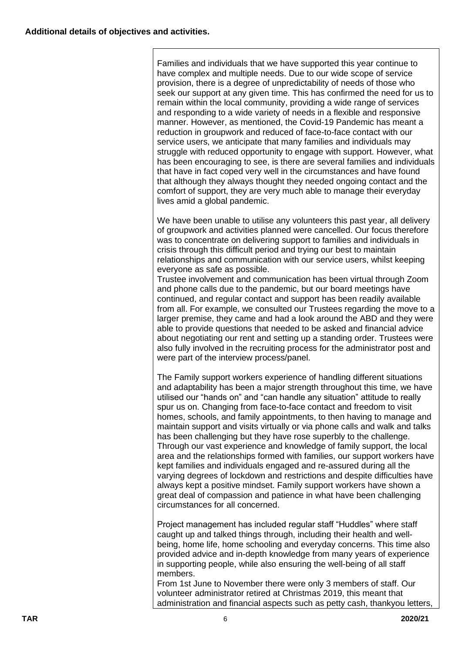Families and individuals that we have supported this year continue to have complex and multiple needs. Due to our wide scope of service provision, there is a degree of unpredictability of needs of those who seek our support at any given time. This has confirmed the need for us to remain within the local community, providing a wide range of services and responding to a wide variety of needs in a flexible and responsive manner. However, as mentioned, the Covid-19 Pandemic has meant a reduction in groupwork and reduced of face-to-face contact with our service users, we anticipate that many families and individuals may struggle with reduced opportunity to engage with support. However, what has been encouraging to see, is there are several families and individuals that have in fact coped very well in the circumstances and have found that although they always thought they needed ongoing contact and the comfort of support, they are very much able to manage their everyday lives amid a global pandemic.

We have been unable to utilise any volunteers this past year, all delivery of groupwork and activities planned were cancelled. Our focus therefore was to concentrate on delivering support to families and individuals in crisis through this difficult period and trying our best to maintain relationships and communication with our service users, whilst keeping everyone as safe as possible.

Trustee involvement and communication has been virtual through Zoom and phone calls due to the pandemic, but our board meetings have continued, and regular contact and support has been readily available from all. For example, we consulted our Trustees regarding the move to a larger premise, they came and had a look around the ABD and they were able to provide questions that needed to be asked and financial advice about negotiating our rent and setting up a standing order. Trustees were also fully involved in the recruiting process for the administrator post and were part of the interview process/panel.

The Family support workers experience of handling different situations and adaptability has been a major strength throughout this time, we have utilised our "hands on" and "can handle any situation" attitude to really spur us on. Changing from face-to-face contact and freedom to visit homes, schools, and family appointments, to then having to manage and maintain support and visits virtually or via phone calls and walk and talks has been challenging but they have rose superbly to the challenge. Through our vast experience and knowledge of family support, the local area and the relationships formed with families, our support workers have kept families and individuals engaged and re-assured during all the varying degrees of lockdown and restrictions and despite difficulties have always kept a positive mindset. Family support workers have shown a great deal of compassion and patience in what have been challenging circumstances for all concerned.

Project management has included regular staff "Huddles" where staff caught up and talked things through, including their health and wellbeing, home life, home schooling and everyday concerns. This time also provided advice and in-depth knowledge from many years of experience in supporting people, while also ensuring the well-being of all staff members.

From 1st June to November there were only 3 members of staff. Our volunteer administrator retired at Christmas 2019, this meant that administration and financial aspects such as petty cash, thankyou letters,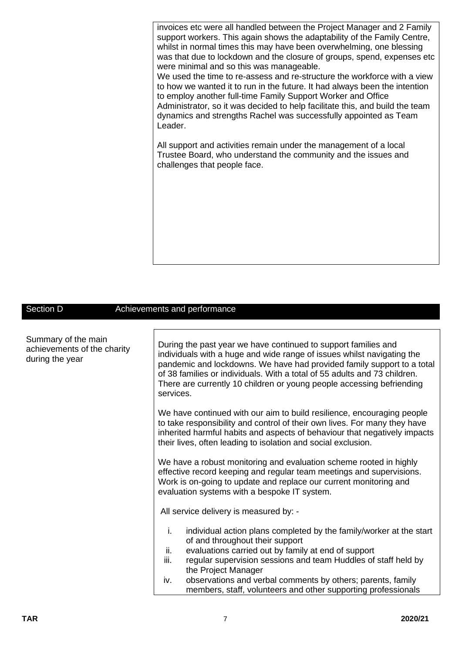invoices etc were all handled between the Project Manager and 2 Family support workers. This again shows the adaptability of the Family Centre, whilst in normal times this may have been overwhelming, one blessing was that due to lockdown and the closure of groups, spend, expenses etc were minimal and so this was manageable.

We used the time to re-assess and re-structure the workforce with a view to how we wanted it to run in the future. It had always been the intention to employ another full-time Family Support Worker and Office Administrator, so it was decided to help facilitate this, and build the team dynamics and strengths Rachel was successfully appointed as Team Leader.

All support and activities remain under the management of a local Trustee Board, who understand the community and the issues and challenges that people face.

#### Section D **Achievements and performance**

| Summary of the main<br>achievements of the charity<br>during the year | During the past year we have continued to support families and<br>individuals with a huge and wide range of issues whilst navigating the<br>pandemic and lockdowns. We have had provided family support to a total<br>of 38 families or individuals. With a total of 55 adults and 73 children.<br>There are currently 10 children or young people accessing befriending<br>services.                              |  |  |
|-----------------------------------------------------------------------|--------------------------------------------------------------------------------------------------------------------------------------------------------------------------------------------------------------------------------------------------------------------------------------------------------------------------------------------------------------------------------------------------------------------|--|--|
|                                                                       | We have continued with our aim to build resilience, encouraging people<br>to take responsibility and control of their own lives. For many they have<br>inherited harmful habits and aspects of behaviour that negatively impacts<br>their lives, often leading to isolation and social exclusion.                                                                                                                  |  |  |
|                                                                       | We have a robust monitoring and evaluation scheme rooted in highly<br>effective record keeping and regular team meetings and supervisions.<br>Work is on-going to update and replace our current monitoring and<br>evaluation systems with a bespoke IT system.                                                                                                                                                    |  |  |
|                                                                       | All service delivery is measured by: -                                                                                                                                                                                                                                                                                                                                                                             |  |  |
|                                                                       | i.<br>individual action plans completed by the family/worker at the start<br>of and throughout their support<br>ii.<br>evaluations carried out by family at end of support<br>iii.<br>regular supervision sessions and team Huddles of staff held by<br>the Project Manager<br>observations and verbal comments by others; parents, family<br>iv.<br>members, staff, volunteers and other supporting professionals |  |  |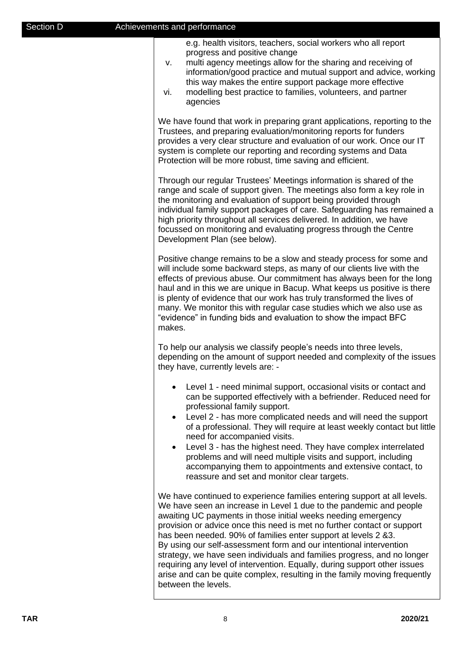e.g. health visitors, teachers, social workers who all report progress and positive change

- v. multi agency meetings allow for the sharing and receiving of information/good practice and mutual support and advice, working this way makes the entire support package more effective
- vi. modelling best practice to families, volunteers, and partner agencies

We have found that work in preparing grant applications, reporting to the Trustees, and preparing evaluation/monitoring reports for funders provides a very clear structure and evaluation of our work. Once our IT system is complete our reporting and recording systems and Data Protection will be more robust, time saving and efficient.

Through our regular Trustees' Meetings information is shared of the range and scale of support given. The meetings also form a key role in the monitoring and evaluation of support being provided through individual family support packages of care. Safeguarding has remained a high priority throughout all services delivered. In addition, we have focussed on monitoring and evaluating progress through the Centre Development Plan (see below).

Positive change remains to be a slow and steady process for some and will include some backward steps, as many of our clients live with the effects of previous abuse. Our commitment has always been for the long haul and in this we are unique in Bacup. What keeps us positive is there is plenty of evidence that our work has truly transformed the lives of many. We monitor this with regular case studies which we also use as "evidence" in funding bids and evaluation to show the impact BFC makes.

To help our analysis we classify people's needs into three levels, depending on the amount of support needed and complexity of the issues they have, currently levels are: -

- Level 1 need minimal support, occasional visits or contact and can be supported effectively with a befriender. Reduced need for professional family support.
- Level 2 has more complicated needs and will need the support of a professional. They will require at least weekly contact but little need for accompanied visits.
- Level 3 has the highest need. They have complex interrelated problems and will need multiple visits and support, including accompanying them to appointments and extensive contact, to reassure and set and monitor clear targets.

We have continued to experience families entering support at all levels. We have seen an increase in Level 1 due to the pandemic and people awaiting UC payments in those initial weeks needing emergency provision or advice once this need is met no further contact or support has been needed. 90% of families enter support at levels 2 &3. By using our self-assessment form and our intentional intervention strategy, we have seen individuals and families progress, and no longer requiring any level of intervention. Equally, during support other issues arise and can be quite complex, resulting in the family moving frequently between the levels.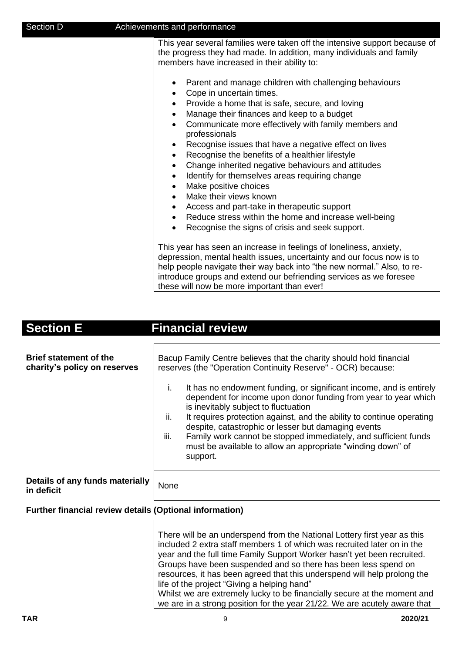| Section D | Achievements and performance                                                                                                                                                                                                                                                                                                                                                                                                                                                                                                                                                                                                                                                                                   |
|-----------|----------------------------------------------------------------------------------------------------------------------------------------------------------------------------------------------------------------------------------------------------------------------------------------------------------------------------------------------------------------------------------------------------------------------------------------------------------------------------------------------------------------------------------------------------------------------------------------------------------------------------------------------------------------------------------------------------------------|
|           | This year several families were taken off the intensive support because of<br>the progress they had made. In addition, many individuals and family<br>members have increased in their ability to:                                                                                                                                                                                                                                                                                                                                                                                                                                                                                                              |
|           | Parent and manage children with challenging behaviours<br>٠<br>Cope in uncertain times.<br>٠<br>Provide a home that is safe, secure, and loving<br>٠<br>Manage their finances and keep to a budget<br>$\bullet$<br>Communicate more effectively with family members and<br>$\bullet$<br>professionals<br>Recognise issues that have a negative effect on lives<br>٠<br>Recognise the benefits of a healthier lifestyle<br>$\bullet$<br>Change inherited negative behaviours and attitudes<br>$\bullet$<br>Identify for themselves areas requiring change<br>$\bullet$<br>Make positive choices<br>$\bullet$<br>Make their views known<br>$\bullet$<br>Access and part-take in therapeutic support<br>$\bullet$ |
|           | Reduce stress within the home and increase well-being<br>٠<br>Recognise the signs of crisis and seek support.                                                                                                                                                                                                                                                                                                                                                                                                                                                                                                                                                                                                  |
|           | This year has seen an increase in feelings of loneliness, anxiety,<br>depression, mental health issues, uncertainty and our focus now is to<br>help people navigate their way back into "the new normal." Also, to re-<br>introduce groups and extend our befriending services as we foresee<br>these will now be more important than ever!                                                                                                                                                                                                                                                                                                                                                                    |

# **Section E** Financial review

| <b>Brief statement of the</b><br>charity's policy on reserves | Bacup Family Centre believes that the charity should hold financial<br>reserves (the "Operation Continuity Reserve" - OCR) because:                                                                                                                                                                                                                                                                                                                                               |  |  |
|---------------------------------------------------------------|-----------------------------------------------------------------------------------------------------------------------------------------------------------------------------------------------------------------------------------------------------------------------------------------------------------------------------------------------------------------------------------------------------------------------------------------------------------------------------------|--|--|
|                                                               | It has no endowment funding, or significant income, and is entirely<br>L.<br>dependent for income upon donor funding from year to year which<br>is inevitably subject to fluctuation<br>ii.<br>It requires protection against, and the ability to continue operating<br>despite, catastrophic or lesser but damaging events<br>iii.<br>Family work cannot be stopped immediately, and sufficient funds<br>must be available to allow an appropriate "winding down" of<br>support. |  |  |
| Details of any funds materially<br>in deficit                 | None                                                                                                                                                                                                                                                                                                                                                                                                                                                                              |  |  |

## **Further financial review details (Optional information)**

There will be an underspend from the National Lottery first year as this included 2 extra staff members 1 of which was recruited later on in the year and the full time Family Support Worker hasn't yet been recruited. Groups have been suspended and so there has been less spend on resources, it has been agreed that this underspend will help prolong the life of the project "Giving a helping hand" Whilst we are extremely lucky to be financially secure at the moment and we are in a strong position for the year 21/22. We are acutely aware that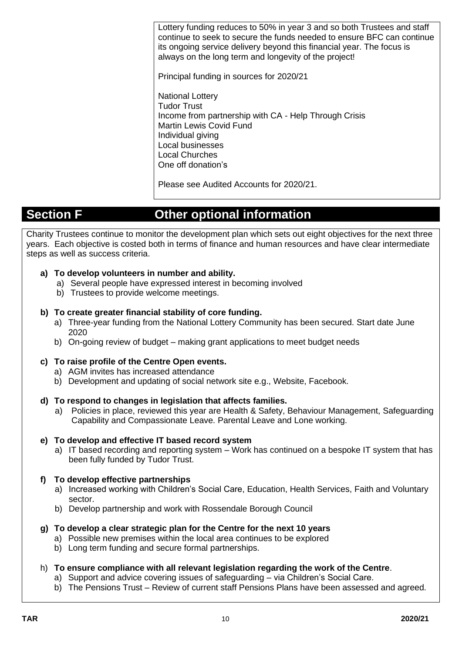Lottery funding reduces to 50% in year 3 and so both Trustees and staff continue to seek to secure the funds needed to ensure BFC can continue its ongoing service delivery beyond this financial year. The focus is always on the long term and longevity of the project!

Principal funding in sources for 2020/21

National Lottery Tudor Trust Income from partnership with CA - Help Through Crisis Martin Lewis Covid Fund Individual giving Local businesses Local Churches One off donation's

Please see Audited Accounts for 2020/21.

# **Section F Other optional information**

Charity Trustees continue to monitor the development plan which sets out eight objectives for the next three years. Each objective is costed both in terms of finance and human resources and have clear intermediate steps as well as success criteria.

### **a) To develop volunteers in number and ability.**

- a) Several people have expressed interest in becoming involved
- b) Trustees to provide welcome meetings.

### **b) To create greater financial stability of core funding.**

- a) Three-year funding from the National Lottery Community has been secured. Start date June 2020
- b) On-going review of budget making grant applications to meet budget needs

#### **c) To raise profile of the Centre Open events.**

- a) AGM invites has increased attendance
- b) Development and updating of social network site e.g., Website, Facebook.

#### **d) To respond to changes in legislation that affects families.**

a) Policies in place, reviewed this year are Health & Safety, Behaviour Management, Safeguarding Capability and Compassionate Leave. Parental Leave and Lone working.

#### **e) To develop and effective IT based record system**

a) IT based recording and reporting system – Work has continued on a bespoke IT system that has been fully funded by Tudor Trust.

#### **f) To develop effective partnerships**

- a) Increased working with Children's Social Care, Education, Health Services, Faith and Voluntary sector.
- b) Develop partnership and work with Rossendale Borough Council

#### **g) To develop a clear strategic plan for the Centre for the next 10 years**

- a) Possible new premises within the local area continues to be explored
- b) Long term funding and secure formal partnerships.

#### h) **To ensure compliance with all relevant legislation regarding the work of the Centre**.

- a) Support and advice covering issues of safeguarding via Children's Social Care.
- b) The Pensions Trust Review of current staff Pensions Plans have been assessed and agreed.